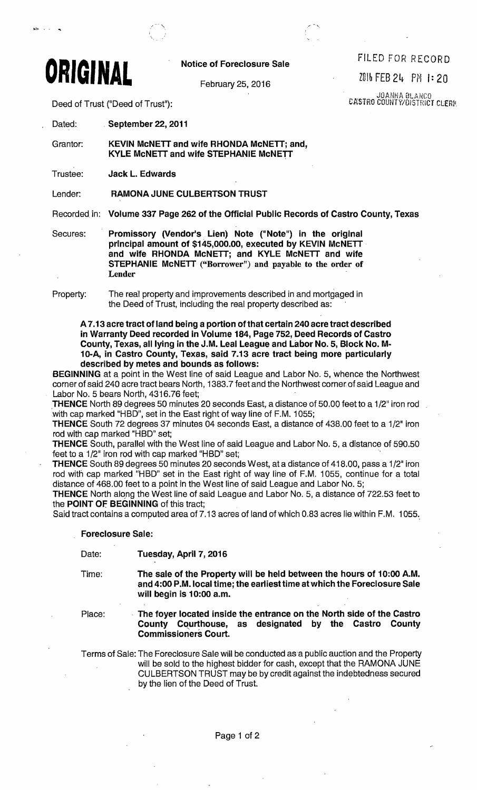

## Notice of Foreclosure Sale FILED FOR RECORD

Deed of Trust ("Deed of Trust"):

**DARA SLANCO** CASTRO COUNTY/DISTRICT CLERH

Dated: . September 22, 2011

Grantor: KEVIN McNETT and wife RHONDA McNETT; and, KYLE McNETT and wife STEPHANIE McNETT

Trustee: **Jack L. Edwards** 

Lender: RAMONA JUNE CULBERTSON TRUST

Recorded in: Volume 337 Page 262 of the Official Public Records of Castro County, Texas

Secures: Promissory (Vendor's Lien) Note ("Note") in the original principal amount of \$145,000.00, executed by KEVIN McNETT and wife RHONDA McNETT; and KYLE McNETT and wife STEPHANIE MCNETT ("Borrower") and payable to the order of Lender

Property: The real property and improvements described in and mortgaged in the Deed of Trust, including the real property described as: .

A 7.13 acre tract of land being a portion of that certain 240 acre tract described in Warranty Deed recorded in Volume 184, Page 752, Deed Records of Castro County, Texas, all lying in the J.M. Leal League and Labor No.5, Block No. M-10-A, in Castro County, Texas, said 7.13 acre tract being more particularly described by metes and bounds as follows:

BEGINNING at a point in the West line of said League and Labor No. 5, whence the Northwest corner of said 240 acre tract bears North, 1383.7 feet and the Northwest corner of said League and Labor No.5 bears North, 4316.76 feet;

THENCE North 89 degrees 50 minutes 20 seconds East, a distance of 50.00 feet to a 1/2" iron rod with cap marked "HBD", set in the East right of way line of F.M. 1055; Labor No. 3 bears North, 4310.76 leet,<br> **THENCE** North 89 degrees 50 minutes 20 seconds East, a distance of 50.00 feet to a 1/2" iron<br>
with cap marked "HBD", set in the East right of way line of F.M. 1055;<br> **THENCE** South

**THENCE** South 72 degrees 37 minutes 04 seconds East, a distance of 438.00 feet to a 1/2" iron rod with cap marked "HBD" set;

THENCE South, parallel with the West line of said League and Labor No. 5, a distance of 590.50 feet to a 1/2" iron rod with cap marked "HBD" set;

THENCE South 89 degrees 50 minutes 20 seconds West, at a distance of 418.00, pass a 1/2" iron rod with cap marked "HBD" set in the East right of way line of F.M. 1055, continue for a total distance of 468.00 feet to a point in the West line of said League and Labor No. 5;

THENCE North along the West line of said League and Labor No. 5, a distance of 722.53 feet to the POINT OF BEGINNING of this tract:

Said tract contains a computed area of 7.13 acres of land of which 0.83 acres lie within F.M. 1055.,

## Foreclosure Sale:

Date: Tuesday, April 7, 2016

Time: The sale of the Property will be held between the hours of 10:00 A.M. and 4:00 P.M. local time; the earliest time at which the Foreclosure Sale will begin is 10:00 a.m.

Place: The foyer located inside the entrance on the North side of the Castro County Courthouse, as deSignated by the Castro County Commissioners Court.

Terms of Sale: The Foreclosure Sale will be conducted asa public auction and the Property will be sold to the highest bidder for cash, except that the RAMONA JUNE CULBERTSON TRUST may be by credit against the indebtedness secured by the lien of the Deed of Trust.